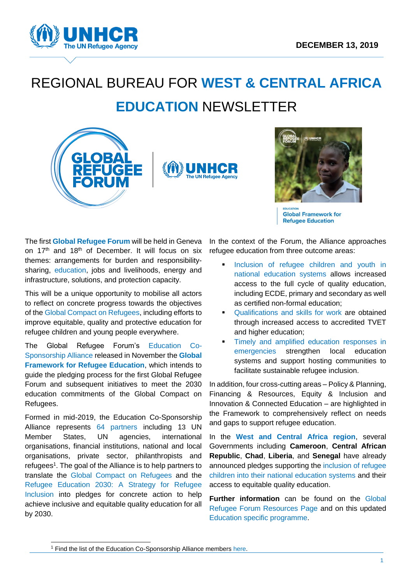

# REGIONAL BUREAU FOR **WEST & CENTRAL AFRICA EDUCATION** NEWSLETTER





**Global Framework for Refugee Education** 

The first **[Global Refugee Forum](https://www.unhcr.org/global-refugee-forum.html)** will be held in Geneva on 17<sup>th</sup> and 18<sup>th</sup> of December. It will focus on six themes: arrangements for burden and responsibilitysharing, education, jobs and livelihoods, energy and infrastructure, solutions, and protection capacity.

This will be a unique opportunity to mobilise all actors to reflect on concrete progress towards the objectives of th[e Global Compact on Refugees,](https://www.unhcr.org/the-global-compact-on-refugees.html) including efforts to improve equitable, quality and protective education for refugee children and young people everywhere.

The Global Refugee Forum's Education Co-Sponsorship Alliance released in November the **[Global](https://www.unhcr.org/events/conferences/5dd50ce47/global-refugee-forum-pledging-guidance-global-framework-refugee-education.html)  Framework [for Refugee Education](https://www.unhcr.org/events/conferences/5dd50ce47/global-refugee-forum-pledging-guidance-global-framework-refugee-education.html)**, which intends to guide the pledging process for the first Global Refugee Forum and subsequent initiatives to meet the 2030 education commitments of the Global Compact on Refugees.

Formed in mid-2019, the Education Co-Sponsorship Alliance represents 64 [partners](https://www.unhcr.org/events/conferences/5d1a12367/education-5d1a12367.html) including 13 UN Member States, UN agencies, international organisations, financial institutions, national and local organisations, private sector, philanthropists and refugees<sup>1</sup>. The goal of the Alliance is to help partners to translate the [Global Compact on Refugees](https://www.unhcr.org/the-global-compact-on-refugees.html) and the [Refugee Education 2030:](https://www.unhcr.org/publications/education/5d651da88d7/education-2030-strategy-refugee-education.html) A Strategy for Refugee [Inclusion](https://www.unhcr.org/publications/education/5d651da88d7/education-2030-strategy-refugee-education.html) into pledges for concrete action to help achieve inclusive and equitable quality education for all by 2030.

-

In the context of the Forum, the Alliance approaches refugee education from three outcome areas:

- Inclusion of refugee children and youth in national education systems allows increased access to the full cycle of quality education, including ECDE, primary and secondary as well as certified non-formal education;
- Qualifications and skills for work are obtained through increased access to accredited TVET and higher education:
- Timely and amplified education responses in emergencies strengthen local education systems and support hosting communities to facilitate sustainable refugee inclusion.

In addition, four cross-cutting areas – Policy & Planning, Financing & Resources, Equity & Inclusion and Innovation & Connected Education – are highlighted in the Framework to comprehensively reflect on needs and gaps to support refugee education.

In the **West and Central Africa region**, several Governments including **Cameroon**, **Central African Republic**, **Chad**, **Liberia**, and **Senegal** have already announced pledges supporting the inclusion of refugee children into their national education systems and their access to equitable quality education.

**Further information** can be found on the [Global](https://www.unhcr.org/afr/resources-5cc1a4e94.html)  [Refugee Forum Resources Page](https://www.unhcr.org/afr/resources-5cc1a4e94.html) and on this updated [Education specific programme.](https://drive.google.com/file/d/1Ob4A6JLC8g5jyLDF8TD9W-PrJKM10jls/view)

<sup>1</sup> Find the list of the Education Co-Sponsorship Alliance members [here.](https://www.unhcr.org/afr/events/conferences/5d1a12367/education-5d1a12367.html)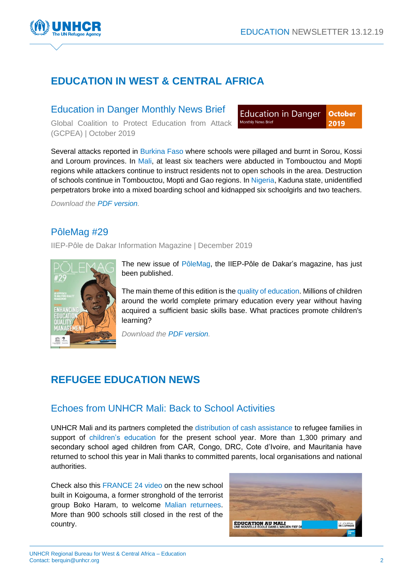

# **EDUCATION IN WEST & CENTRAL AFRICA**

#### Education in Danger Monthly News Brief

Global Coalition to Protect Education from Attack (GCPEA) | October 2019

**Education in Danger October** Monthly News Brief 2019

Several attacks reported in Burkina Faso where schools were pillaged and burnt in Sorou, Kossi and Loroum provinces. In Mali, at least six teachers were abducted in Tombouctou and Mopti regions while attackers continue to instruct residents not to open schools in the area. Destruction of schools continue in Tombouctou, Mopti and Gao regions. In Nigeria, Kaduna state, unidentified perpetrators broke into a mixed boarding school and kidnapped six schoolgirls and two teachers.

*Download the [PDF version.](https://www.h2hworks.org/users/63344-insecurity-insight/documents/56814-october-2019-education-in-danger-monthly-news-brief)*

#### PôleMag #29

IIEP-Pôle de Dakar Information Magazine | December 2019



The new issue of [PôleMag,](https://eur02.safelinks.protection.outlook.com/?url=https%3A%2F%2Fbuff.ly%2F2PmzHDZ&data=02%7C01%7Cberquin%40unhcr.org%7Cc2a855bedac546c4d65908d77a6c793b%7Ce5c37981666441348a0c6543d2af80be%7C0%7C0%7C637112478614420460&sdata=Yn10mWqNur1xW9J36UDN%2F80zcgaV9eLEym%2FUj%2FOoN%2FU%3D&reserved=0) the IIEP-Pôle de Dakar's magazine, has just been published.

The main theme of this edition is the quality of education. Millions of children around the world complete primary education every year without having acquired a sufficient basic skills base. What practices promote children's learning?

*Download the [PDF version.](https://buff.ly/2PmzHDZ)*

## **REFUGEE EDUCATION NEWS**

#### Echoes from UNHCR Mali: Back to School Activities

UNHCR Mali and its partners completed the distribution of cash assistance to refugee families in support of children's education for the present school year. More than 1,300 primary and secondary school aged children from CAR, Congo, DRC, Cote d'Ivoire, and Mauritania have returned to school this year in Mali thanks to committed parents, local organisations and national authorities.

Check also this [FRANCE 24 video](https://www.youtube.com/watch?v=bktqKi-29QQ&feature=youtu.be) on the new school built in Koigouma, a former stronghold of the terrorist group Boko Haram, to welcome Malian returnees. More than 900 schools still closed in the rest of the country.

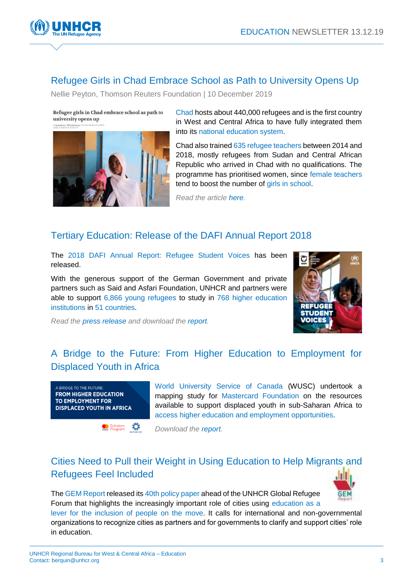

#### Refugee Girls in Chad Embrace School as Path to University Opens Up

Nellie Peyton, Thomson Reuters Foundation | 10 December 2019

Refugee girls in Chad embrace school as path to university opens up



Chad hosts about 440,000 refugees and is the first country in West and Central Africa to have fully integrated them into its national education system.

Chad also trained 635 refugee teachers between 2014 and 2018, mostly refugees from Sudan and Central African Republic who arrived in Chad with no qualifications. The programme has prioritised women, since female teachers tend to boost the number of girls in school.

*Read the article [here.](http://news.trust.org/item/20191210052917-r7sh1)*

#### Tertiary Education: Release of the DAFI Annual Report 2018

The [2018 DAFI Annual Report: Refugee Student Voices](https://eur02.safelinks.protection.outlook.com/?url=https%3A%2F%2Fwww.unhcr.org%2F5d7f61097&data=02%7C01%7Cberquin%40unhcr.org%7Cee684873110a4f18a5d408d74a8c371e%7Ce5c37981666441348a0c6543d2af80be%7C0%7C0%7C637059838426116619&sdata=v%2F4dbUfgNlbfX5YjFBCRKximh%2FuOUbQKMkRWXbuGRfo%3D&reserved=0) has been released.

With the generous support of the German Government and private partners such as Said and Asfari Foundation, UNHCR and partners were able to support 6,866 young refugees to study in 768 higher education institutions in 51 countries.



*Read the [press release](https://eur02.safelinks.protection.outlook.com/?url=https%3A%2F%2Fwww.unhcr.org%2Fnews%2Fpress%2F2019%2F10%2F5d95ed844%2Funhcr-urges-support-boost-refugee-access-tertiary-education.html&data=02%7C01%7Cberquin%40unhcr.org%7Cee684873110a4f18a5d408d74a8c371e%7Ce5c37981666441348a0c6543d2af80be%7C0%7C0%7C637059838426116619&sdata=4mTjeAGUf6LzHTCQKA9c41cI47xS5gBmQyhRmmG7Nhc%3D&reserved=0) and download the [report.](https://eur02.safelinks.protection.outlook.com/?url=https%3A%2F%2Fwww.unhcr.org%2F5d7f61097&data=02%7C01%7Cberquin%40unhcr.org%7Cee684873110a4f18a5d408d74a8c371e%7Ce5c37981666441348a0c6543d2af80be%7C0%7C0%7C637059838426116619&sdata=v%2F4dbUfgNlbfX5YjFBCRKximh%2FuOUbQKMkRWXbuGRfo%3D&reserved=0)*

Scholars 3

#### [A Bridge to the Future: From Higher Education to Employment for](https://wusc.ca/wp-content/uploads/2019/11/Mastercard-foundation-A-bridge-to-the-future.pdf)  [Displaced Youth in Africa](https://wusc.ca/wp-content/uploads/2019/11/Mastercard-foundation-A-bridge-to-the-future.pdf)



World University Service of Canada (WUSC) undertook a mapping study for Mastercard Foundation on the resources available to support displaced youth in sub-Saharan Africa to access higher education and employment opportunities.

*Download the [report.](https://wusc.ca/wp-content/uploads/2019/11/Mastercard-foundation-A-bridge-to-the-future.pdf)*

### Cities Need to Pull their Weight in Using Education to Help Migrants and Refugees Feel Included



The GEM Report released its [40th policy paper](https://eur02.safelinks.protection.outlook.com/?url=https%3A%2F%2Funesdoc.unesco.org%2Fark%3A%2F48223%2Fpf0000371960&data=02%7C01%7Cberquin%40unhcr.org%7Cd246fc40bf514c8262ac08d777012219%7Ce5c37981666441348a0c6543d2af80be%7C0%7C0%7C637108719108485033&sdata=rCY%2F8ZG3Xl6Kg9%2FvvYvrT4Bfl9U2AHlqr3QAe%2F7hb4c%3D&reserved=0) ahead of the UNHCR Global Refugee Forum that highlights the increasingly important role of cities using education as a lever for the inclusion of people on the move. It calls for international and non-governmental organizations to recognize cities as partners and for governments to clarify and support cities' role in education.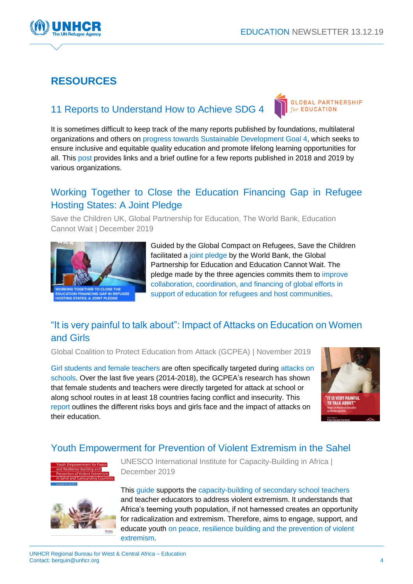



# **RESOURCES**

#### 11 Reports to Understand How to Achieve SDG 4

GLOBAL PARTNERSHIP for **FDUCATION** 

It is sometimes difficult to keep track of the many reports published by foundations, multilateral organizations and others on progress towards Sustainable Development Goal 4, which seeks to ensure inclusive and equitable quality education and promote lifelong learning opportunities for all. This [post](https://www.globalpartnership.org/blog/11-reports-understand-how-achieve-sdg-4?audience-profile=international-organization&utm_source=Global%20Partnership%20For%20Education&utm_campaign=fc29ebc929-English%20Campaign%20-%202019-12-12-02-00-01&utm_medium=email&utm_term=0_90856a3035-fc29ebc929-173960181) provides links and a brief outline for a few reports published in 2018 and 2019 by various organizations.

### Working Together to Close the Education Financing Gap in Refugee Hosting States: A Joint Pledge

Save the Children UK, Global Partnership for Education, The World Bank, Education Cannot Wait | December 2019



Guided by the Global Compact on Refugees, Save the Children facilitated a [joint pledge](https://resourcecentre.savethechildren.net/library/working-together-close-education-financing-gap-refugee-hosting-states-joint-pledge) by the World Bank, the Global Partnership for Education and Education Cannot Wait. The pledge made by the three agencies commits them to improve collaboration, coordination, and financing of global efforts in support of education for refugees and host communities.

## "It is very painful to talk about": Impact of Attacks on Education on Women and Girls

Global Coalition to Protect Education from Attack (GCPEA) | November 2019

Girl students and female teachers are often specifically targeted during attacks on schools. Over the last five years (2014-2018), the GCPEA's research has shown that female students and teachers were directly targeted for attack at school or along school routes in at least 18 countries facing conflict and insecurity. This [report](http://protectingeducation.org/sites/default/files/documents/impact_of_attacks_on_education_nov_2019_lowres_webspreads.pdf) outlines the different risks boys and girls face and the impact of attacks on their education.



#### Youth Empowerment for Prevention of Violent Extremism in the Sahel



UNESCO International Institute for Capacity-Building in Africa | December 2019



This [guide](https://unesdoc.unesco.org/ark:/48223/pf0000371537) supports the capacity-building of secondary school teachers and teacher educators to address violent extremism. It understands that Africa's teeming youth population, if not harnessed creates an opportunity for radicalization and extremism. Therefore, aims to engage, support, and educate youth on peace, resilience building and the prevention of violent extremism.